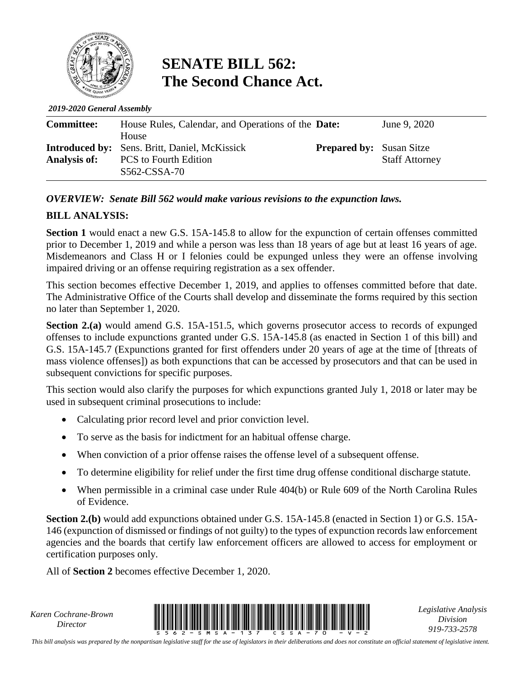

## **SENATE BILL 562: The Second Chance Act.**

*2019-2020 General Assembly*

| <b>Committee:</b>   | House Rules, Calendar, and Operations of the <b>Date:</b> |                                 | June 9, 2020          |
|---------------------|-----------------------------------------------------------|---------------------------------|-----------------------|
|                     | House                                                     |                                 |                       |
|                     | <b>Introduced by:</b> Sens. Britt, Daniel, McKissick      | <b>Prepared by:</b> Susan Sitze |                       |
| <b>Analysis of:</b> | <b>PCS</b> to Fourth Edition                              |                                 | <b>Staff Attorney</b> |
|                     | S562-CSSA-70                                              |                                 |                       |

## *OVERVIEW: Senate Bill 562 would make various revisions to the expunction laws.*

## **BILL ANALYSIS:**

**Section 1** would enact a new G.S. 15A-145.8 to allow for the expunction of certain offenses committed prior to December 1, 2019 and while a person was less than 18 years of age but at least 16 years of age. Misdemeanors and Class H or I felonies could be expunged unless they were an offense involving impaired driving or an offense requiring registration as a sex offender.

This section becomes effective December 1, 2019, and applies to offenses committed before that date. The Administrative Office of the Courts shall develop and disseminate the forms required by this section no later than September 1, 2020.

**Section 2.(a)** would amend G.S. 15A-151.5, which governs prosecutor access to records of expunged offenses to include expunctions granted under G.S. 15A-145.8 (as enacted in Section 1 of this bill) and G.S. 15A-145.7 (Expunctions granted for first offenders under 20 years of age at the time of [threats of mass violence offenses]) as both expunctions that can be accessed by prosecutors and that can be used in subsequent convictions for specific purposes.

This section would also clarify the purposes for which expunctions granted July 1, 2018 or later may be used in subsequent criminal prosecutions to include:

- Calculating prior record level and prior conviction level.
- To serve as the basis for indictment for an habitual offense charge.
- When conviction of a prior offense raises the offense level of a subsequent offense.
- To determine eligibility for relief under the first time drug offense conditional discharge statute.
- When permissible in a criminal case under Rule 404(b) or Rule 609 of the North Carolina Rules of Evidence.

**Section 2.(b)** would add expunctions obtained under G.S. 15A-145.8 (enacted in Section 1) or G.S. 15A-146 (expunction of dismissed or findings of not guilty) to the types of expunction records law enforcement agencies and the boards that certify law enforcement officers are allowed to access for employment or certification purposes only.

All of **Section 2** becomes effective December 1, 2020.

*Karen Cochrane-Brown*



*Legislative Analysis Division 919-733-2578*

*This bill analysis was prepared by the nonpartisan legislative staff for the use of legislators in their deliberations and does not constitute an official statement of legislative intent.*